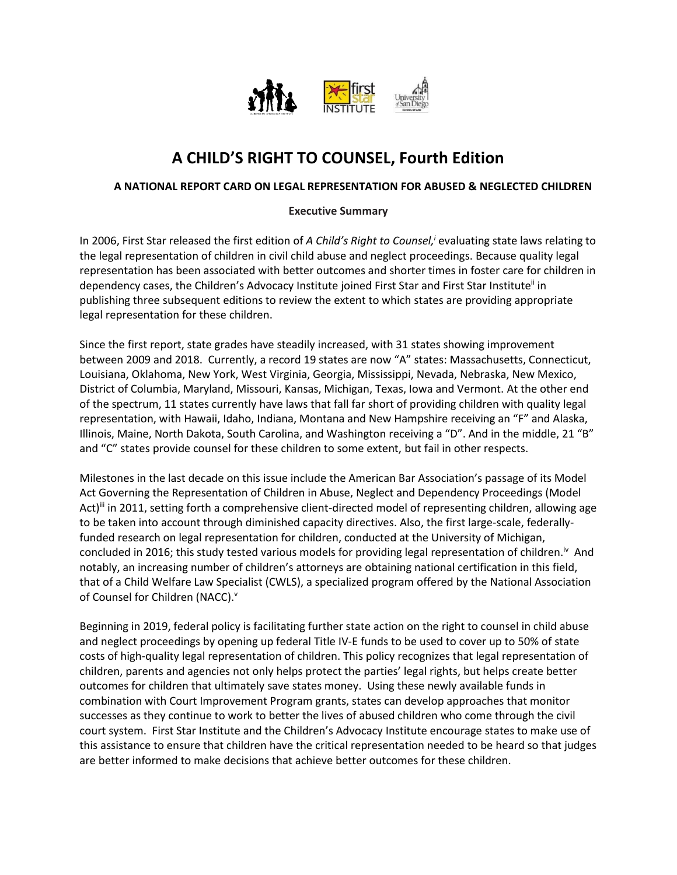

# **A CHILD'S RIGHT TO COUNSEL, Fourth Edition**

#### **A NATIONAL REPORT CARD ON LEGAL REPRESENTATION FOR ABUSED & NEGLECTED CHILDREN**

#### **Executive Summary**

In 2006, First Star released the first edition of *A Child's Right to Counsel,<sup>i</sup>* evaluating state laws relating to the legal representation of children in civil child abuse and neglect proceedings. Because quality legal representation has been associated with better outcomes and shorter times in foster care for children in dependency cases, the Children's Advocacy Institute joined First Star and First Star Institute<sup>ii</sup> in publishing three subsequent editions to review the extent to which states are providing appropriate legal representation for these children.

Since the first report, state grades have steadily increased, with 31 states showing improvement between 2009 and 2018. Currently, a record 19 states are now "A" states: Massachusetts, Connecticut, Louisiana, Oklahoma, New York, West Virginia, Georgia, Mississippi, Nevada, Nebraska, New Mexico, District of Columbia, Maryland, Missouri, Kansas, Michigan, Texas, Iowa and Vermont. At the other end of the spectrum, 11 states currently have laws that fall far short of providing children with quality legal representation, with Hawaii, Idaho, Indiana, Montana and New Hampshire receiving an "F" and Alaska, Illinois, Maine, North Dakota, South Carolina, and Washington receiving a "D". And in the middle, 21 "B" and "C" states provide counsel for these children to some extent, but fail in other respects.

Milestones in the last decade on this issue include the American Bar Association's passage of its Model Act Governing the Representation of Children in Abuse, Neglect and Dependency Proceedings (Model Act)<sup>iii</sup> in 2011, setting forth a comprehensive client-directed model of representing children, allowing age to be taken into account through diminished capacity directives. Also, the first large-scale, federallyfunded research on legal representation for children, conducted at the University of Michigan, concluded in 2016; this study tested various models for providing legal representation of children.<sup>iv</sup> And notably, an increasing number of children's attorneys are obtaining national certification in this field, that of a Child Welfare Law Specialist (CWLS), a specialized program offered by the National Association of Counsel for Children (NACC).<sup>v</sup>

Beginning in 2019, federal policy is facilitating further state action on the right to counsel in child abuse and neglect proceedings by opening up federal Title IV-E funds to be used to cover up to 50% of state costs of high-quality legal representation of children. This policy recognizes that legal representation of children, parents and agencies not only helps protect the parties' legal rights, but helps create better outcomes for children that ultimately save states money. Using these newly available funds in combination with Court Improvement Program grants, states can develop approaches that monitor successes as they continue to work to better the lives of abused children who come through the civil court system. First Star Institute and the Children's Advocacy Institute encourage states to make use of this assistance to ensure that children have the critical representation needed to be heard so that judges are better informed to make decisions that achieve better outcomes for these children.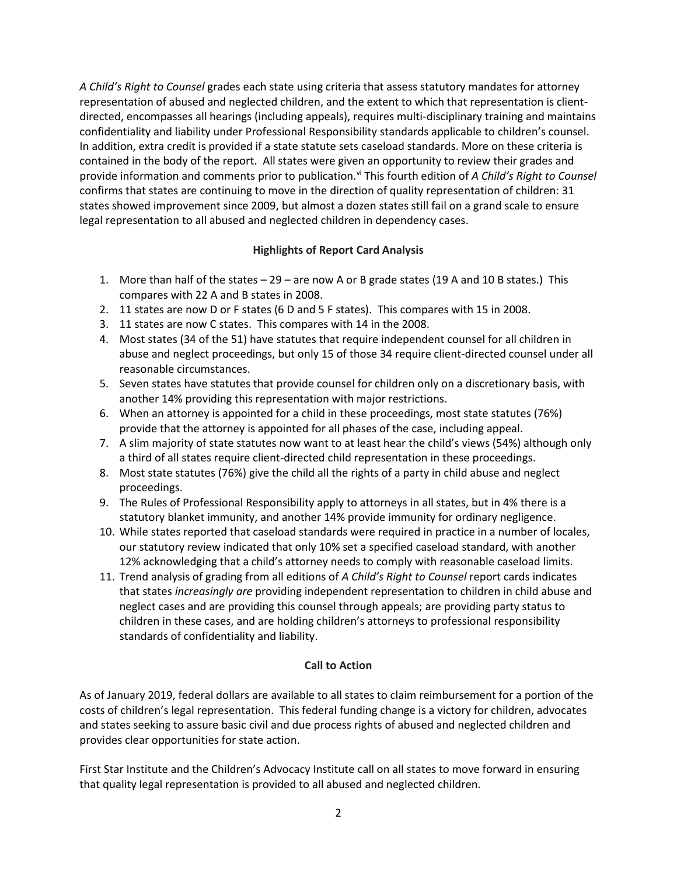*A Child's Right to Counsel* grades each state using criteria that assess statutory mandates for attorney representation of abused and neglected children, and the extent to which that representation is clientdirected, encompasses all hearings (including appeals), requires multi-disciplinary training and maintains confidentiality and liability under Professional Responsibility standards applicable to children's counsel. In addition, extra credit is provided if a state statute sets caseload standards. More on these criteria is contained in the body of the report. All states were given an opportunity to review their grades and provide information and comments prior to publication.<sup>vi</sup> This fourth edition of *A Child's Right to Counsel* confirms that states are continuing to move in the direction of quality representation of children: 31 states showed improvement since 2009, but almost a dozen states still fail on a grand scale to ensure legal representation to all abused and neglected children in dependency cases.

# **Highlights of Report Card Analysis**

- 1. More than half of the states 29 are now A or B grade states (19 A and 10 B states.) This compares with 22 A and B states in 2008.
- 2. 11 states are now D or F states (6 D and 5 F states). This compares with 15 in 2008.
- 3. 11 states are now C states. This compares with 14 in the 2008.
- 4. Most states (34 of the 51) have statutes that require independent counsel for all children in abuse and neglect proceedings, but only 15 of those 34 require client-directed counsel under all reasonable circumstances.
- 5. Seven states have statutes that provide counsel for children only on a discretionary basis, with another 14% providing this representation with major restrictions.
- 6. When an attorney is appointed for a child in these proceedings, most state statutes (76%) provide that the attorney is appointed for all phases of the case, including appeal.
- 7. A slim majority of state statutes now want to at least hear the child's views (54%) although only a third of all states require client-directed child representation in these proceedings.
- 8. Most state statutes (76%) give the child all the rights of a party in child abuse and neglect proceedings.
- 9. The Rules of Professional Responsibility apply to attorneys in all states, but in 4% there is a statutory blanket immunity, and another 14% provide immunity for ordinary negligence.
- 10. While states reported that caseload standards were required in practice in a number of locales, our statutory review indicated that only 10% set a specified caseload standard, with another 12% acknowledging that a child's attorney needs to comply with reasonable caseload limits.
- 11. Trend analysis of grading from all editions of *A Child's Right to Counsel* report cards indicates that states *increasingly are* providing independent representation to children in child abuse and neglect cases and are providing this counsel through appeals; are providing party status to children in these cases, and are holding children's attorneys to professional responsibility standards of confidentiality and liability.

# **Call to Action**

As of January 2019, federal dollars are available to all states to claim reimbursement for a portion of the costs of children's legal representation. This federal funding change is a victory for children, advocates and states seeking to assure basic civil and due process rights of abused and neglected children and provides clear opportunities for state action.

First Star Institute and the Children's Advocacy Institute call on all states to move forward in ensuring that quality legal representation is provided to all abused and neglected children.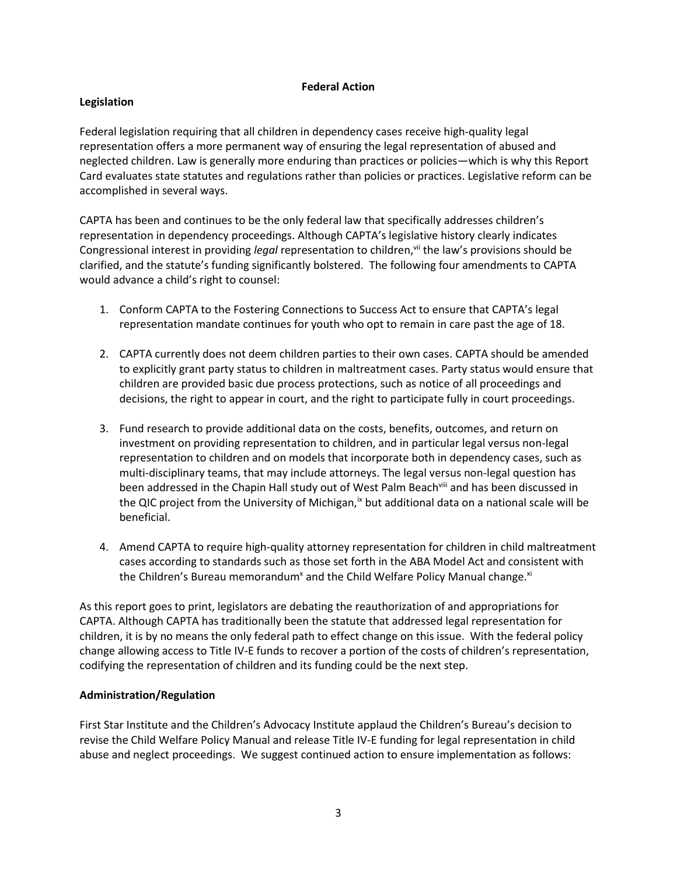## **Federal Action**

## **Legislation**

Federal legislation requiring that all children in dependency cases receive high-quality legal representation offers a more permanent way of ensuring the legal representation of abused and neglected children. Law is generally more enduring than practices or policies—which is why this Report Card evaluates state statutes and regulations rather than policies or practices. Legislative reform can be accomplished in several ways.

CAPTA has been and continues to be the only federal law that specifically addresses children's representation in dependency proceedings. Although CAPTA's legislative history clearly indicates Congressional interest in providing *legal* representation to children,<sup>vii</sup> the law's provisions should be clarified, and the statute's funding significantly bolstered. The following four amendments to CAPTA would advance a child's right to counsel:

- 1. Conform CAPTA to the Fostering Connections to Success Act to ensure that CAPTA's legal representation mandate continues for youth who opt to remain in care past the age of 18.
- 2. CAPTA currently does not deem children parties to their own cases. CAPTA should be amended to explicitly grant party status to children in maltreatment cases. Party status would ensure that children are provided basic due process protections, such as notice of all proceedings and decisions, the right to appear in court, and the right to participate fully in court proceedings.
- 3. Fund research to provide additional data on the costs, benefits, outcomes, and return on investment on providing representation to children, and in particular legal versus non-legal representation to children and on models that incorporate both in dependency cases, such as multi-disciplinary teams, that may include attorneys. The legal versus non-legal question has been addressed in the Chapin Hall study out of West Palm Beach<sup>yili</sup> and has been discussed in the QIC project from the University of Michigan,<sup>ix</sup> but additional data on a national scale will be beneficial.
- 4. Amend CAPTA to require high-quality attorney representation for children in child maltreatment cases according to standards such as those set forth in the ABA Model Act and consistent with the Children's Bureau memorandum<sup>x</sup> and the Child Welfare Policy Manual change.<sup>xi</sup>

As this report goes to print, legislators are debating the reauthorization of and appropriations for CAPTA. Although CAPTA has traditionally been the statute that addressed legal representation for children, it is by no means the only federal path to effect change on this issue. With the federal policy change allowing access to Title IV-E funds to recover a portion of the costs of children's representation, codifying the representation of children and its funding could be the next step.

## **Administration/Regulation**

First Star Institute and the Children's Advocacy Institute applaud the Children's Bureau's decision to revise the Child Welfare Policy Manual and release Title IV-E funding for legal representation in child abuse and neglect proceedings. We suggest continued action to ensure implementation as follows: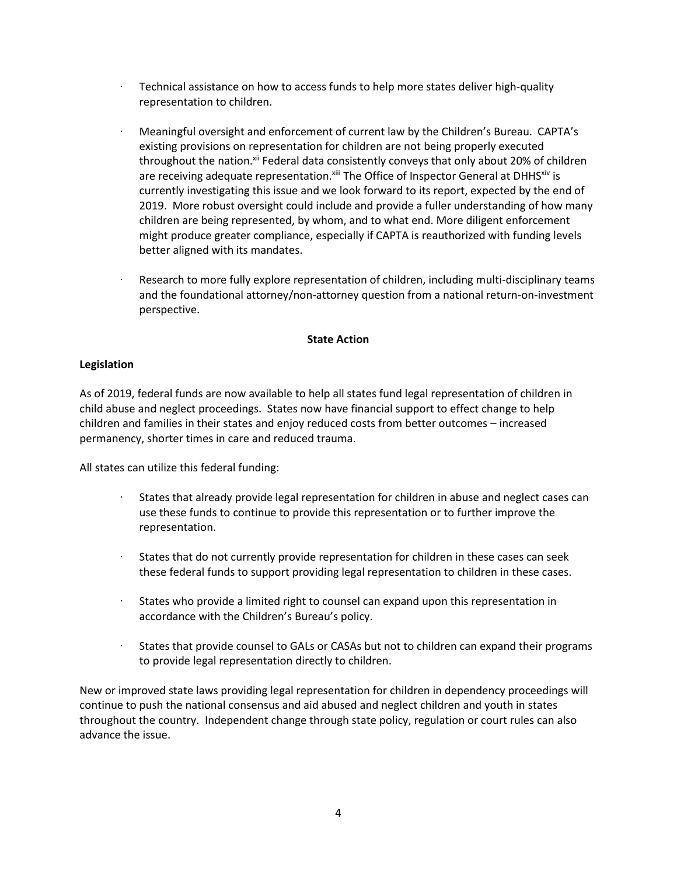- Technical assistance on how to access funds to help more states deliver high-quality representation to children.
- · Meaningful oversight and enforcement of current law by the Children's Bureau. CAPTA's existing provisions on representation for children are not being properly executed throughout the nation.<sup>xii</sup> Federal data consistently conveys that only about 20% of children are receiving adequate representation. Xiii The Office of Inspector General at DHHS Xiv is currently investigating this issue and we look forward to its report, expected by the end of 2019. More robust oversight could include and provide a fuller understanding of how many children are being represented, by whom, and to what end. More diligent enforcement might produce greater compliance, especially if CAPTA is reauthorized with funding levels better aligned with its mandates.
- Research to more fully explore representation of children, including multi-disciplinary teams and the foundational attorney/non-attorney question from a national return-on-investment perspective.

## **State Action**

#### **Legislation**

As of 2019, federal funds are now available to help all states fund legal representation of children in child abuse and neglect proceedings. States now have financial support to effect change to help children and families in their states and enjoy reduced costs from better outcomes – increased permanency, shorter times in care and reduced trauma.

All states can utilize this federal funding:

- · States that already provide legal representation for children in abuse and neglect cases can use these funds to continue to provide this representation or to further improve the representation.
- · States that do not currently provide representation for children in these cases can seek these federal funds to support providing legal representation to children in these cases.
- · States who provide a limited right to counsel can expand upon this representation in accordance with the Children's Bureau's policy.
- States that provide counsel to GALs or CASAs but not to children can expand their programs to provide legal representation directly to children.

New or improved state laws providing legal representation for children in dependency proceedings will continue to push the national consensus and aid abused and neglect children and youth in states throughout the country. Independent change through state policy, regulation or court rules can also advance the issue.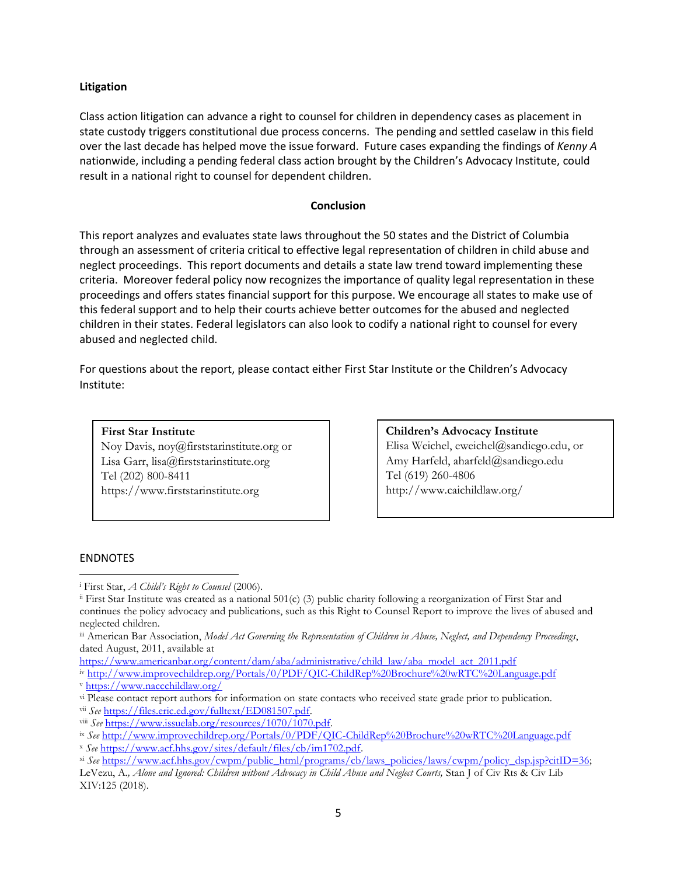## **Litigation**

Class action litigation can advance a right to counsel for children in dependency cases as placement in state custody triggers constitutional due process concerns. The pending and settled caselaw in this field over the last decade has helped move the issue forward. Future cases expanding the findings of *Kenny A* nationwide, including a pending federal class action brought by the Children's Advocacy Institute, could result in a national right to counsel for dependent children.

#### **Conclusion**

This report analyzes and evaluates state laws throughout the 50 states and the District of Columbia through an assessment of criteria critical to effective legal representation of children in child abuse and neglect proceedings. This report documents and details a state law trend toward implementing these criteria. Moreover federal policy now recognizes the importance of quality legal representation in these proceedings and offers states financial support for this purpose. We encourage all states to make use of this federal support and to help their courts achieve better outcomes for the abused and neglected children in their states. Federal legislators can also look to codify a national right to counsel for every abused and neglected child.

For questions about the report, please contact either First Star Institute or the Children's Advocacy Institute:

**First Star Institute** Noy Davis, noy@firststarinstitute.org or Lisa Garr, lisa@firststarinstitute.org Tel (202) 800-8411 https://www.firststarinstitute.org

**Children's Advocacy Institute** Elisa Weichel, eweichel@sandiego.edu, or Amy Harfeld, aharfeld@sandiego.edu Tel (619) 260-4806 http://www.caichildlaw.org/

#### ENDNOTES

 $\overline{\phantom{a}}$ 

<sup>i</sup> First Star, *A Child's Right to Counsel* (2006).

 $\frac{1}{2}$  First Star Institute was created as a national 501(c) (3) public charity following a reorganization of First Star and continues the policy advocacy and publications, such as this Right to Counsel Report to improve the lives of abused and neglected children.

iii American Bar Association, *Model Act Governing the Representation of Children in Abuse, Neglect, and Dependency Proceedings*, dated August, 2011, available at

[https://www.americanbar.org/content/dam/aba/administrative/child\\_law/aba\\_model\\_act\\_2011.pdf](https://www.americanbar.org/content/dam/aba/administrative/child_law/aba_model_act_2011.pdf)

iv <http://www.improvechildrep.org/Portals/0/PDF/QIC-ChildRep%20Brochure%20wRTC%20Language.pdf> <sup>v</sup> <https://www.naccchildlaw.org/>

vi Please contact report authors for information on state contacts who received state grade prior to publication.

vii *See* [https://files.eric.ed.gov/fulltext/ED081507.pdf.](https://files.eric.ed.gov/fulltext/ED081507.pdf)  viii *See* [https://www.issuelab.org/resources/1070/1070.pdf.](https://www.issuelab.org/resources/1070/1070.pdf)

ix *See* <http://www.improvechildrep.org/Portals/0/PDF/QIC-ChildRep%20Brochure%20wRTC%20Language.pdf>

<sup>x</sup> *See* [https://www.acf.hhs.gov/sites/default/files/cb/im1702.pdf.](https://www.acf.hhs.gov/sites/default/files/cb/im1702.pdf)

xi *See* [https://www.acf.hhs.gov/cwpm/public\\_html/programs/cb/laws\\_policies/laws/cwpm/policy\\_dsp.jsp?citID=36;](https://www.acf.hhs.gov/cwpm/public_html/programs/cb/laws_policies/laws/cwpm/policy_dsp.jsp?citID=36) 

LeVezu, A*., Alone and Ignored: Children without Advocacy in Child Abuse and Neglect Courts,* Stan J of Civ Rts & Civ Lib XIV:125 (2018).